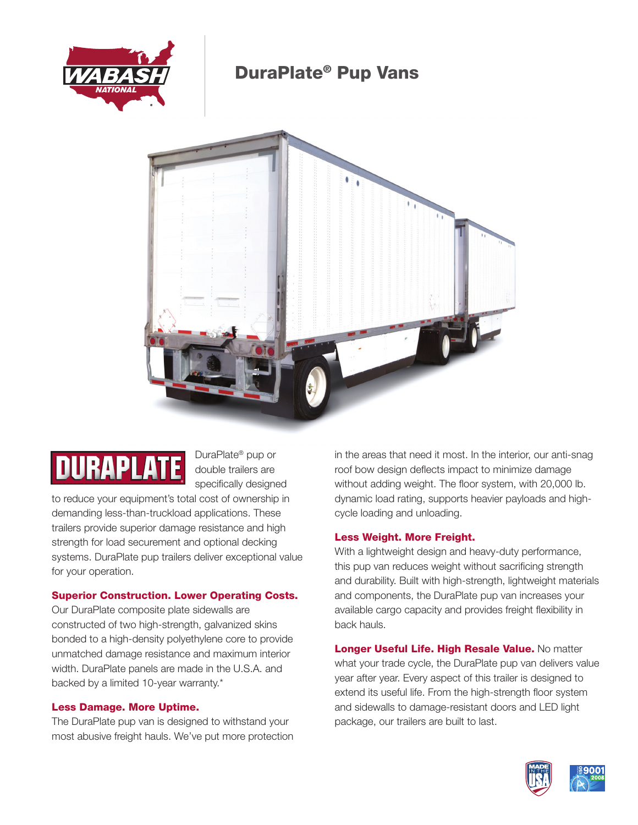

# DuraPlate® Pup Vans



# **DURAPLATE**

DuraPlate® pup or double trailers are specifically designed

to reduce your equipment's total cost of ownership in demanding less-than-truckload applications. These trailers provide superior damage resistance and high strength for load securement and optional decking systems. DuraPlate pup trailers deliver exceptional value for your operation.

## Superior Construction. Lower Operating Costs.

Our DuraPlate composite plate sidewalls are constructed of two high-strength, galvanized skins bonded to a high-density polyethylene core to provide unmatched damage resistance and maximum interior width. DuraPlate panels are made in the U.S.A. and backed by a limited 10-year warranty.\*

## Less Damage. More Uptime.

The DuraPlate pup van is designed to withstand your most abusive freight hauls. We've put more protection

in the areas that need it most. In the interior, our anti-snag roof bow design deflects impact to minimize damage without adding weight. The floor system, with 20,000 lb. dynamic load rating, supports heavier payloads and highcycle loading and unloading.

## Less Weight. More Freight.

With a lightweight design and heavy-duty performance, this pup van reduces weight without sacrificing strength and durability. Built with high-strength, lightweight materials and components, the DuraPlate pup van increases your available cargo capacity and provides freight flexibility in back hauls.

Longer Useful Life. High Resale Value. No matter what your trade cycle, the DuraPlate pup van delivers value year after year. Every aspect of this trailer is designed to extend its useful life. From the high-strength floor system and sidewalls to damage-resistant doors and LED light package, our trailers are built to last.